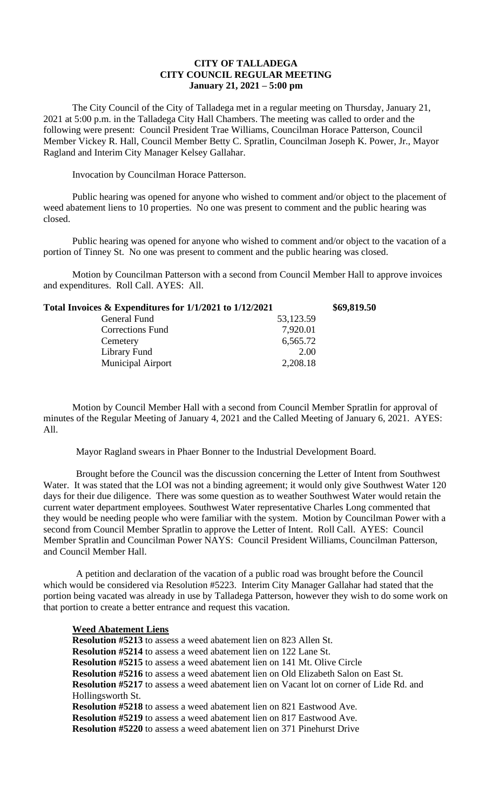## **CITY OF TALLADEGA CITY COUNCIL REGULAR MEETING January 21, 2021 – 5:00 pm**

The City Council of the City of Talladega met in a regular meeting on Thursday, January 21, 2021 at 5:00 p.m. in the Talladega City Hall Chambers. The meeting was called to order and the following were present: Council President Trae Williams, Councilman Horace Patterson, Council Member Vickey R. Hall, Council Member Betty C. Spratlin, Councilman Joseph K. Power, Jr., Mayor Ragland and Interim City Manager Kelsey Gallahar.

Invocation by Councilman Horace Patterson.

Public hearing was opened for anyone who wished to comment and/or object to the placement of weed abatement liens to 10 properties. No one was present to comment and the public hearing was closed.

Public hearing was opened for anyone who wished to comment and/or object to the vacation of a portion of Tinney St. No one was present to comment and the public hearing was closed.

Motion by Councilman Patterson with a second from Council Member Hall to approve invoices and expenditures. Roll Call. AYES: All.

| Total Invoices & Expenditures for 1/1/2021 to 1/12/2021 | \$69,819.50 |
|---------------------------------------------------------|-------------|
| 53,123.59                                               |             |
| 7,920.01                                                |             |
| 6,565.72                                                |             |
| 2.00                                                    |             |
| 2,208.18                                                |             |
|                                                         |             |

Motion by Council Member Hall with a second from Council Member Spratlin for approval of minutes of the Regular Meeting of January 4, 2021 and the Called Meeting of January 6, 2021. AYES: All.

Mayor Ragland swears in Phaer Bonner to the Industrial Development Board.

Brought before the Council was the discussion concerning the Letter of Intent from Southwest Water. It was stated that the LOI was not a binding agreement; it would only give Southwest Water 120 days for their due diligence. There was some question as to weather Southwest Water would retain the current water department employees. Southwest Water representative Charles Long commented that they would be needing people who were familiar with the system. Motion by Councilman Power with a second from Council Member Spratlin to approve the Letter of Intent. Roll Call. AYES: Council Member Spratlin and Councilman Power NAYS: Council President Williams, Councilman Patterson, and Council Member Hall.

A petition and declaration of the vacation of a public road was brought before the Council which would be considered via Resolution #5223. Interim City Manager Gallahar had stated that the portion being vacated was already in use by Talladega Patterson, however they wish to do some work on that portion to create a better entrance and request this vacation.

## **Weed Abatement Liens**

**Resolution #5213** to assess a weed abatement lien on 823 Allen St. **Resolution #5214** to assess a weed abatement lien on 122 Lane St. **Resolution #5215** to assess a weed abatement lien on 141 Mt. Olive Circle **Resolution #5216** to assess a weed abatement lien on Old Elizabeth Salon on East St. **Resolution #5217** to assess a weed abatement lien on Vacant lot on corner of Lide Rd. and Hollingsworth St. **Resolution #5218** to assess a weed abatement lien on 821 Eastwood Ave. **Resolution #5219** to assess a weed abatement lien on 817 Eastwood Ave. **Resolution #5220** to assess a weed abatement lien on 371 Pinehurst Drive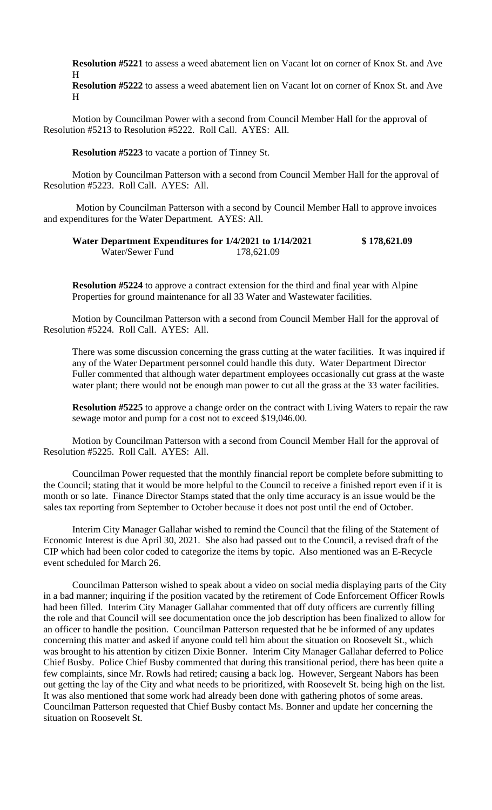**Resolution #5221** to assess a weed abatement lien on Vacant lot on corner of Knox St. and Ave H

**Resolution #5222** to assess a weed abatement lien on Vacant lot on corner of Knox St. and Ave H

Motion by Councilman Power with a second from Council Member Hall for the approval of Resolution #5213 to Resolution #5222. Roll Call. AYES: All.

**Resolution #5223** to vacate a portion of Tinney St.

Motion by Councilman Patterson with a second from Council Member Hall for the approval of Resolution #5223. Roll Call. AYES: All.

Motion by Councilman Patterson with a second by Council Member Hall to approve invoices and expenditures for the Water Department. AYES: All.

## **Water Department Expenditures for 1/4/2021 to 1/14/2021 \$ 178,621.09** Water/Sewer Fund 178,621.09

**Resolution #5224** to approve a contract extension for the third and final year with Alpine Properties for ground maintenance for all 33 Water and Wastewater facilities.

Motion by Councilman Patterson with a second from Council Member Hall for the approval of Resolution #5224. Roll Call. AYES: All.

There was some discussion concerning the grass cutting at the water facilities. It was inquired if any of the Water Department personnel could handle this duty. Water Department Director Fuller commented that although water department employees occasionally cut grass at the waste water plant; there would not be enough man power to cut all the grass at the 33 water facilities.

**Resolution #5225** to approve a change order on the contract with Living Waters to repair the raw sewage motor and pump for a cost not to exceed \$19,046.00.

Motion by Councilman Patterson with a second from Council Member Hall for the approval of Resolution #5225. Roll Call. AYES: All.

Councilman Power requested that the monthly financial report be complete before submitting to the Council; stating that it would be more helpful to the Council to receive a finished report even if it is month or so late. Finance Director Stamps stated that the only time accuracy is an issue would be the sales tax reporting from September to October because it does not post until the end of October.

Interim City Manager Gallahar wished to remind the Council that the filing of the Statement of Economic Interest is due April 30, 2021. She also had passed out to the Council, a revised draft of the CIP which had been color coded to categorize the items by topic. Also mentioned was an E-Recycle event scheduled for March 26.

Councilman Patterson wished to speak about a video on social media displaying parts of the City in a bad manner; inquiring if the position vacated by the retirement of Code Enforcement Officer Rowls had been filled. Interim City Manager Gallahar commented that off duty officers are currently filling the role and that Council will see documentation once the job description has been finalized to allow for an officer to handle the position. Councilman Patterson requested that he be informed of any updates concerning this matter and asked if anyone could tell him about the situation on Roosevelt St., which was brought to his attention by citizen Dixie Bonner. Interim City Manager Gallahar deferred to Police Chief Busby. Police Chief Busby commented that during this transitional period, there has been quite a few complaints, since Mr. Rowls had retired; causing a back log. However, Sergeant Nabors has been out getting the lay of the City and what needs to be prioritized, with Roosevelt St. being high on the list. It was also mentioned that some work had already been done with gathering photos of some areas. Councilman Patterson requested that Chief Busby contact Ms. Bonner and update her concerning the situation on Roosevelt St.